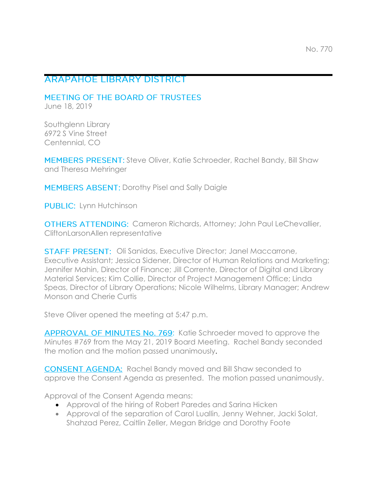# **ARAPAHOE LIBRARY DISTRICT**

MEETING OF THE BOARD OF TRUSTEES

June 18, 2019

Southglenn Library 6972 S Vine Street Centennial, CO

MEMBERS PRESENT: Steve Oliver, Katie Schroeder, Rachel Bandy, Bill Shaw and Theresa Mehringer

MEMBERS ABSENT: Dorothy Pisel and Sally Daigle

**PUBLIC:** Lynn Hutchinson

OTHERS ATTENDING: Cameron Richards, Attorney; John Paul LeChevallier, CliftonLarsonAllen representative

**STAFF PRESENT:** Oli Sanidas, Executive Director: Janel Maccarrone, Executive Assistant; Jessica Sidener, Director of Human Relations and Marketing; Jennifer Mahin, Director of Finance; Jill Corrente, Director of Digital and Library Material Services; Kim Collie, Director of Project Management Office; Linda Speas, Director of Library Operations; Nicole Wilhelms, Library Manager; Andrew Monson and Cherie Curtis

Steve Oliver opened the meeting at 5:47 p.m.

APPROVAL OF MINUTES No. 769: Katie Schroeder moved to approve the Minutes #769 from the May 21, 2019 Board Meeting. Rachel Bandy seconded the motion and the motion passed unanimously.

**CONSENT AGENDA:** Rachel Bandy moved and Bill Shaw seconded to approve the Consent Agenda as presented. The motion passed unanimously.

Approval of the Consent Agenda means:

- Approval of the hiring of Robert Paredes and Sarina Hicken
- Approval of the separation of Carol Luallin, Jenny Wehner, Jacki Solat, Shahzad Perez, Caitlin Zeller, Megan Bridge and Dorothy Foote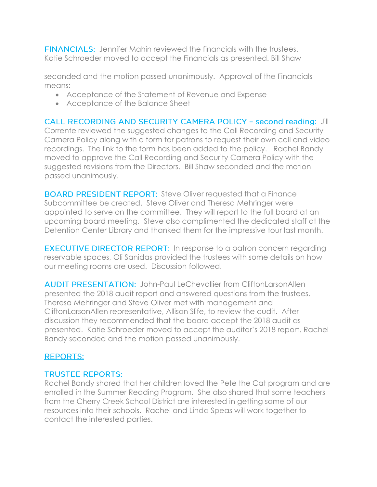**FINANCIALS:** Jennifer Mahin reviewed the financials with the trustees. Katie Schroeder moved to accept the Financials as presented. Bill Shaw

seconded and the motion passed unanimously. Approval of the Financials means:

- Acceptance of the Statement of Revenue and Expense
- Acceptance of the Balance Sheet

CALL RECORDING AND SECURITY CAMERA POLICY - second reading: Jill Corrente reviewed the suggested changes to the Call Recording and Security Camera Policy along with a form for patrons to request their own call and video recordings. The link to the form has been added to the policy. Rachel Bandy moved to approve the Call Recording and Security Camera Policy with the suggested revisions from the Directors. Bill Shaw seconded and the motion passed unanimously.

**BOARD PRESIDENT REPORT:** Steve Oliver requested that a Finance Subcommittee be created. Steve Oliver and Theresa Mehringer were appointed to serve on the committee. They will report to the full board at an upcoming board meeting. Steve also complimented the dedicated staff at the Detention Center Library and thanked them for the impressive tour last month.

**EXECUTIVE DIRECTOR REPORT:** In response to a patron concern regarding reservable spaces, Oli Sanidas provided the trustees with some details on how our meeting rooms are used. Discussion followed.

AUDIT PRESENTATION: John-Paul LeChevallier from CliftonLarsonAllen presented the 2018 audit report and answered questions from the trustees. Theresa Mehringer and Steve Oliver met with management and CliftonLarsonAllen representative, Allison Slife, to review the audit. After discussion they recommended that the board accept the 2018 audit as presented. Katie Schroeder moved to accept the auditor's 2018 report. Rachel Bandy seconded and the motion passed unanimously.

## **REPORTS:**

## **TRUSTEE REPORTS:**

Rachel Bandy shared that her children loved the Pete the Cat program and are enrolled in the Summer Reading Program. She also shared that some teachers from the Cherry Creek School District are interested in getting some of our resources into their schools. Rachel and Linda Speas will work together to contact the interested parties.